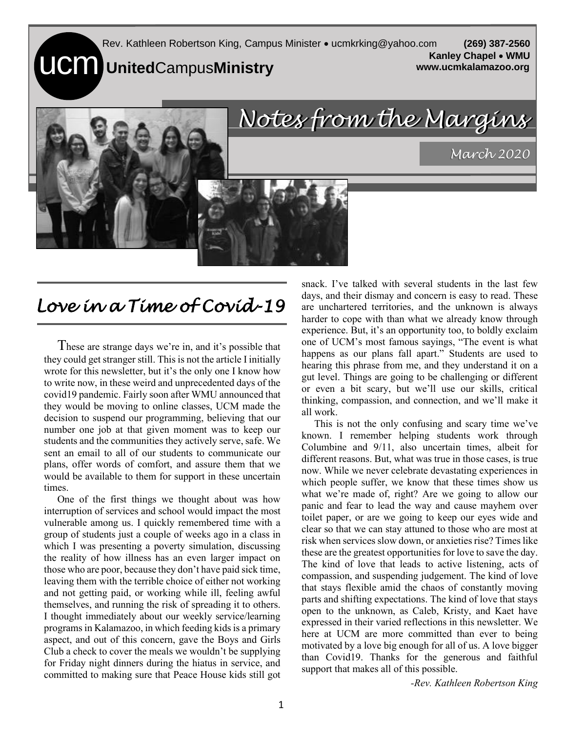**UCM** UnitedCampusMinistry Rev. Kathleen Robertson King, Campus Minister • ucmkrking@yahoo.com **(269) 387-2560 Kanley Chapel** • **WMU www.ucmkalamazoo.org**



## *Love in a Time of Covid-19*

These are strange days we're in, and it's possible that they could get stranger still. This is not the article I initially wrote for this newsletter, but it's the only one I know how to write now, in these weird and unprecedented days of the covid19 pandemic. Fairly soon after WMU announced that they would be moving to online classes, UCM made the decision to suspend our programming, believing that our number one job at that given moment was to keep our students and the communities they actively serve, safe. We sent an email to all of our students to communicate our plans, offer words of comfort, and assure them that we would be available to them for support in these uncertain times.

One of the first things we thought about was how interruption of services and school would impact the most vulnerable among us. I quickly remembered time with a group of students just a couple of weeks ago in a class in which I was presenting a poverty simulation, discussing the reality of how illness has an even larger impact on those who are poor, because they don't have paid sick time, leaving them with the terrible choice of either not working and not getting paid, or working while ill, feeling awful themselves, and running the risk of spreading it to others. I thought immediately about our weekly service/learning programs in Kalamazoo, in which feeding kids is a primary aspect, and out of this concern, gave the Boys and Girls Club a check to cover the meals we wouldn't be supplying for Friday night dinners during the hiatus in service, and committed to making sure that Peace House kids still got

snack. I've talked with several students in the last few days, and their dismay and concern is easy to read. These are unchartered territories, and the unknown is always harder to cope with than what we already know through experience. But, it's an opportunity too, to boldly exclaim one of UCM's most famous sayings, "The event is what happens as our plans fall apart." Students are used to hearing this phrase from me, and they understand it on a gut level. Things are going to be challenging or different or even a bit scary, but we'll use our skills, critical thinking, compassion, and connection, and we'll make it all work.

 This is not the only confusing and scary time we've known. I remember helping students work through Columbine and 9/11, also uncertain times, albeit for different reasons. But, what was true in those cases, is true now. While we never celebrate devastating experiences in which people suffer, we know that these times show us what we're made of, right? Are we going to allow our panic and fear to lead the way and cause mayhem over toilet paper, or are we going to keep our eyes wide and clear so that we can stay attuned to those who are most at risk when services slow down, or anxieties rise? Times like these are the greatest opportunities for love to save the day. The kind of love that leads to active listening, acts of compassion, and suspending judgement. The kind of love that stays flexible amid the chaos of constantly moving parts and shifting expectations. The kind of love that stays open to the unknown, as Caleb, Kristy, and Kaet have expressed in their varied reflections in this newsletter. We here at UCM are more committed than ever to being motivated by a love big enough for all of us. A love bigger than Covid19. Thanks for the generous and faithful support that makes all of this possible.

*-Rev. Kathleen Robertson King*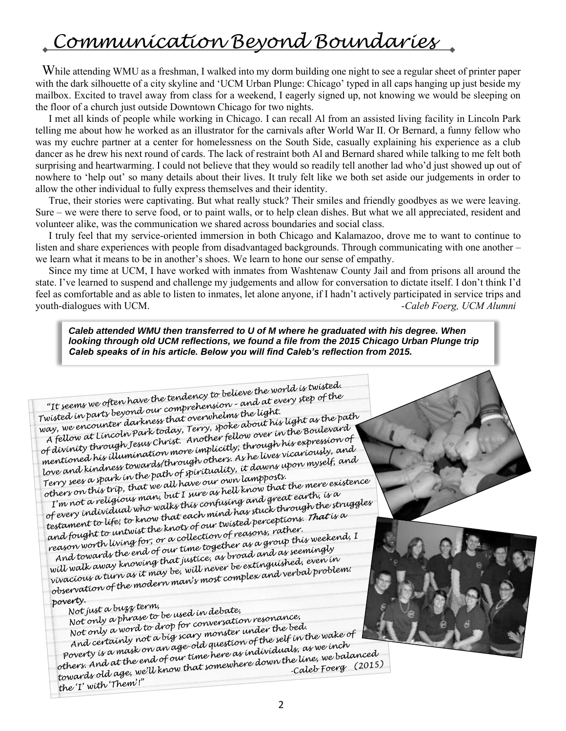## *Communication Beyond Boundaries*

While attending WMU as a freshman, I walked into my dorm building one night to see a regular sheet of printer paper with the dark silhouette of a city skyline and 'UCM Urban Plunge: Chicago' typed in all caps hanging up just beside my mailbox. Excited to travel away from class for a weekend, I eagerly signed up, not knowing we would be sleeping on the floor of a church just outside Downtown Chicago for two nights.

I met all kinds of people while working in Chicago. I can recall Al from an assisted living facility in Lincoln Park telling me about how he worked as an illustrator for the carnivals after World War II. Or Bernard, a funny fellow who was my euchre partner at a center for homelessness on the South Side, casually explaining his experience as a club dancer as he drew his next round of cards. The lack of restraint both Al and Bernard shared while talking to me felt both surprising and heartwarming. I could not believe that they would so readily tell another lad who'd just showed up out of nowhere to 'help out' so many details about their lives. It truly felt like we both set aside our judgements in order to allow the other individual to fully express themselves and their identity.

True, their stories were captivating. But what really stuck? Their smiles and friendly goodbyes as we were leaving. Sure – we were there to serve food, or to paint walls, or to help clean dishes. But what we all appreciated, resident and volunteer alike, was the communication we shared across boundaries and social class.

I truly feel that my service-oriented immersion in both Chicago and Kalamazoo, drove me to want to continue to listen and share experiences with people from disadvantaged backgrounds. Through communicating with one another – we learn what it means to be in another's shoes. We learn to hone our sense of empathy.

Since my time at UCM, I have worked with inmates from Washtenaw County Jail and from prisons all around the state. I've learned to suspend and challenge my judgements and allow for conversation to dictate itself. I don't think I'd feel as comfortable and as able to listen to inmates, let alone anyone, if I hadn't actively participated in service trips and youth-dialogues with UCM.

*Caleb attended WMU then transferred to U of M where he graduated with his degree. When looking through old UCM reflections, we found a file from the 2015 Chicago Urban Plunge trip Caleb speaks of in his article. Below you will find Caleb's reflection from 2015.*

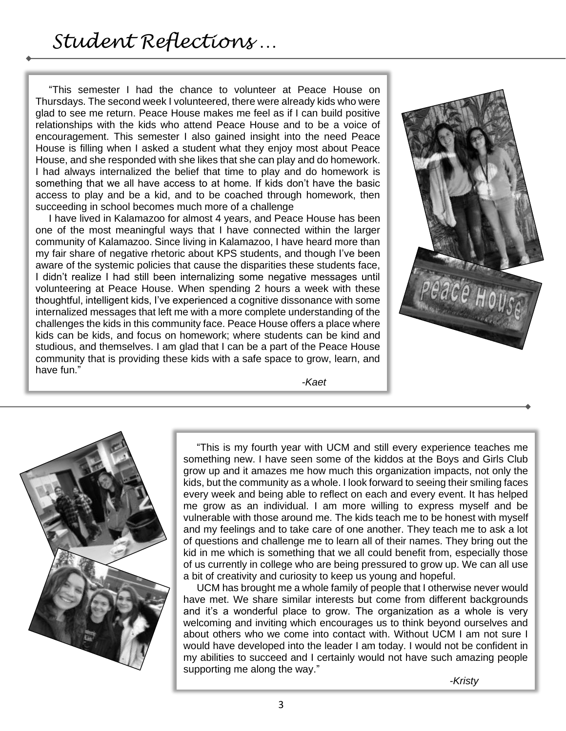"This semester I had the chance to volunteer at Peace House on Thursdays. The second week I volunteered, there were already kids who were glad to see me return. Peace House makes me feel as if I can build positive relationships with the kids who attend Peace House and to be a voice of encouragement. This semester I also gained insight into the need Peace House is filling when I asked a student what they enjoy most about Peace House, and she responded with she likes that she can play and do homework. I had always internalized the belief that time to play and do homework is something that we all have access to at home. If kids don't have the basic access to play and be a kid, and to be coached through homework, then succeeding in school becomes much more of a challenge

I have lived in Kalamazoo for almost 4 years, and Peace House has been one of the most meaningful ways that I have connected within the larger community of Kalamazoo. Since living in Kalamazoo, I have heard more than my fair share of negative rhetoric about KPS students, and though I've been aware of the systemic policies that cause the disparities these students face, I didn't realize I had still been internalizing some negative messages until volunteering at Peace House. When spending 2 hours a week with these thoughtful, intelligent kids, I've experienced a cognitive dissonance with some internalized messages that left me with a more complete understanding of the challenges the kids in this community face. Peace House offers a place where kids can be kids, and focus on homework; where students can be kind and studious, and themselves. I am glad that I can be a part of the Peace House community that is providing these kids with a safe space to grow, learn, and have fun."



*-Kaet*



"This is my fourth year with UCM and still every experience teaches me something new. I have seen some of the kiddos at the Boys and Girls Club grow up and it amazes me how much this organization impacts, not only the kids, but the community as a whole. I look forward to seeing their smiling faces every week and being able to reflect on each and every event. It has helped me grow as an individual. I am more willing to express myself and be vulnerable with those around me. The kids teach me to be honest with myself and my feelings and to take care of one another. They teach me to ask a lot of questions and challenge me to learn all of their names. They bring out the kid in me which is something that we all could benefit from, especially those of us currently in college who are being pressured to grow up. We can all use a bit of creativity and curiosity to keep us young and hopeful.

UCM has brought me a whole family of people that I otherwise never would have met. We share similar interests but come from different backgrounds and it's a wonderful place to grow. The organization as a whole is very welcoming and inviting which encourages us to think beyond ourselves and about others who we come into contact with. Without UCM I am not sure I would have developed into the leader I am today. I would not be confident in my abilities to succeed and I certainly would not have such amazing people supporting me along the way."

*-Kristy*